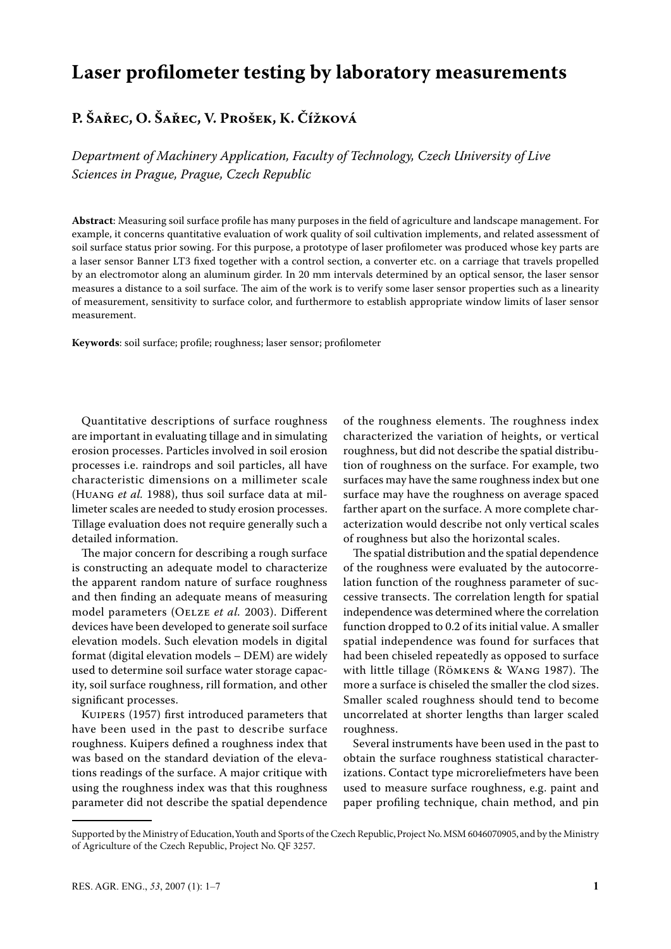# **Laser profilometer testing by laboratory measurements**

## **P. Šařec, O. Šařec, V. Prošek, K. Čížková**

*Department of Machinery Application, Faculty of Technology, Czech University of Live Sciences in Prague, Prague, Czech Republic*

**Abstract**: Measuring soil surface profile has many purposes in the field of agriculture and landscape management. For example, it concerns quantitative evaluation of work quality of soil cultivation implements, and related assessment of soil surface status prior sowing. For this purpose, a prototype of laser profilometer was produced whose key parts are a laser sensor Banner LT3 fixed together with a control section, a converter etc. on a carriage that travels propelled by an electromotor along an aluminum girder. In 20 mm intervals determined by an optical sensor, the laser sensor measures a distance to a soil surface. The aim of the work is to verify some laser sensor properties such as a linearity of measurement, sensitivity to surface color, and furthermore to establish appropriate window limits of laser sensor measurement.

**Keywords**: soil surface; profile; roughness; laser sensor; profilometer

Quantitative descriptions of surface roughness are important in evaluating tillage and in simulating erosion processes. Particles involved in soil erosion processes i.e. raindrops and soil particles, all have characteristic dimensions on a millimeter scale (Huang *et al.* 1988), thus soil surface data at millimeter scales are needed to study erosion processes. Tillage evaluation does not require generally such a detailed information.

The major concern for describing a rough surface is constructing an adequate model to characterize the apparent random nature of surface roughness and then finding an adequate means of measuring model parameters (Oelze *et al.* 2003). Different devices have been developed to generate soil surface elevation models. Such elevation models in digital format (digital elevation models – DEM) are widely used to determine soil surface water storage capacity, soil surface roughness, rill formation, and other significant processes.

Kuipers (1957) first introduced parameters that have been used in the past to describe surface roughness. Kuipers defined a roughness index that was based on the standard deviation of the elevations readings of the surface. A major critique with using the roughness index was that this roughness parameter did not describe the spatial dependence of the roughness elements. The roughness index characterized the variation of heights, or vertical roughness, but did not describe the spatial distribution of roughness on the surface. For example, two surfaces may have the same roughness index but one surface may have the roughness on average spaced farther apart on the surface. A more complete characterization would describe not only vertical scales of roughness but also the horizontal scales.

The spatial distribution and the spatial dependence of the roughness were evaluated by the autocorrelation function of the roughness parameter of successive transects. The correlation length for spatial independence was determined where the correlation function dropped to 0.2 of its initial value. A smaller spatial independence was found for surfaces that had been chiseled repeatedly as opposed to surface with little tillage (Römkens & Wang 1987). The more a surface is chiseled the smaller the clod sizes. Smaller scaled roughness should tend to become uncorrelated at shorter lengths than larger scaled roughness.

Several instruments have been used in the past to obtain the surface roughness statistical characterizations. Contact type microreliefmeters have been used to measure surface roughness, e.g. paint and paper profiling technique, chain method, and pin

Supported by the Ministry of Education, Youth and Sports of the Czech Republic, Project No. MSM 6046070905, and by the Ministry of Agriculture of the Czech Republic, Project No. QF 3257.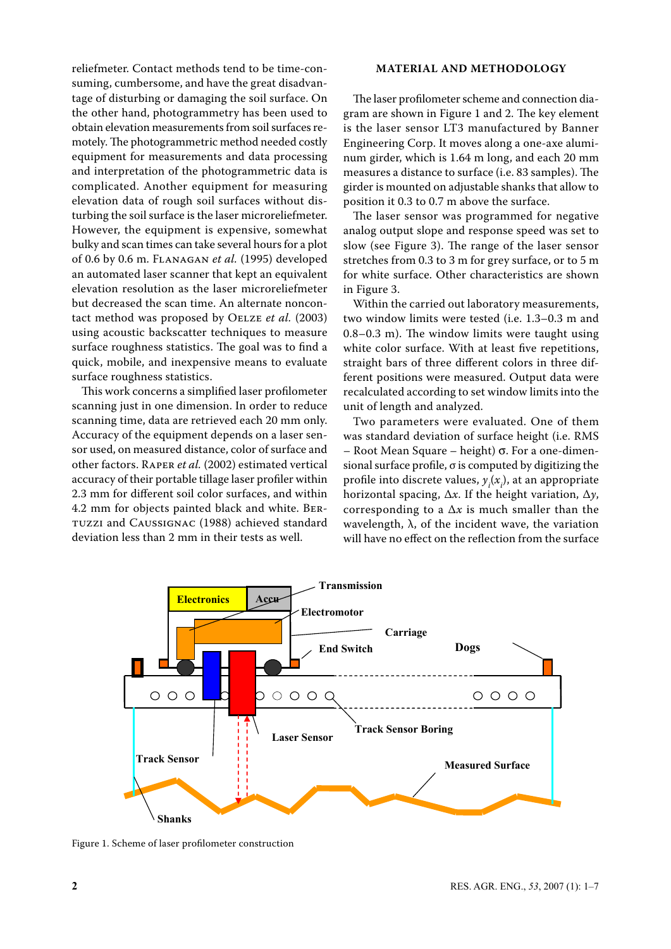reliefmeter. Contact methods tend to be time-consuming, cumbersome, and have the great disadvantage of disturbing or damaging the soil surface. On the other hand, photogrammetry has been used to obtain elevation measurements from soil surfaces remotely. The photogrammetric method needed costly equipment for measurements and data processing and interpretation of the photogrammetric data is complicated. Another equipment for measuring elevation data of rough soil surfaces without disturbing the soil surface is the laser microreliefmeter. However, the equipment is expensive, somewhat bulky and scan times can take several hours for a plot of 0.6 by 0.6 m. Flanagan *et al.* (1995) developed an automated laser scanner that kept an equivalent elevation resolution as the laser microreliefmeter but decreased the scan time. An alternate noncontact method was proposed by Oelze *et al.* (2003) using acoustic backscatter techniques to measure surface roughness statistics. The goal was to find a quick, mobile, and inexpensive means to evaluate surface roughness statistics.

This work concerns a simplified laser profilometer scanning just in one dimension. In order to reduce scanning time, data are retrieved each 20 mm only. Accuracy of the equipment depends on a laser sensor used, on measured distance, color of surface and other factors. Raper *et al.* (2002) estimated vertical accuracy of their portable tillage laser profiler within 2.3 mm for different soil color surfaces, and within 4.2 mm for objects painted black and white. Bertuzzi and Caussignac (1988) achieved standard deviation less than 2 mm in their tests as well.

### **material and methodology**

The laser profilometer scheme and connection diagram are shown in Figure 1 and 2. The key element is the laser sensor LT3 manufactured by Banner Engineering Corp. It moves along a one-axe aluminum girder, which is 1.64 m long, and each 20 mm measures a distance to surface (i.e. 83 samples). The girder is mounted on adjustable shanks that allow to position it 0.3 to 0.7 m above the surface.

The laser sensor was programmed for negative analog output slope and response speed was set to slow (see Figure 3). The range of the laser sensor stretches from 0.3 to 3 m for grey surface, or to 5 m for white surface. Other characteristics are shown in Figure 3.

Within the carried out laboratory measurements, two window limits were tested (i.e. 1.3–0.3 m and 0.8–0.3 m). The window limits were taught using white color surface. With at least five repetitions, straight bars of three different colors in three different positions were measured. Output data were recalculated according to set window limits into the unit of length and analyzed.

Two parameters were evaluated. One of them was standard deviation of surface height (i.e. RMS – Root Mean Square – height) σ. For a one-dimensional surface profile,  $\sigma$  is computed by digitizing the profile into discrete values,  $y_i(x_i)$ , at an appropriate horizontal spacing, Δ*x*. If the height variation, Δ*y*, corresponding to a  $\Delta x$  is much smaller than the wavelength,  $\lambda$ , of the incident wave, the variation will have no effect on the reflection from the surface



Figure 1. Scheme of laser profilometer construction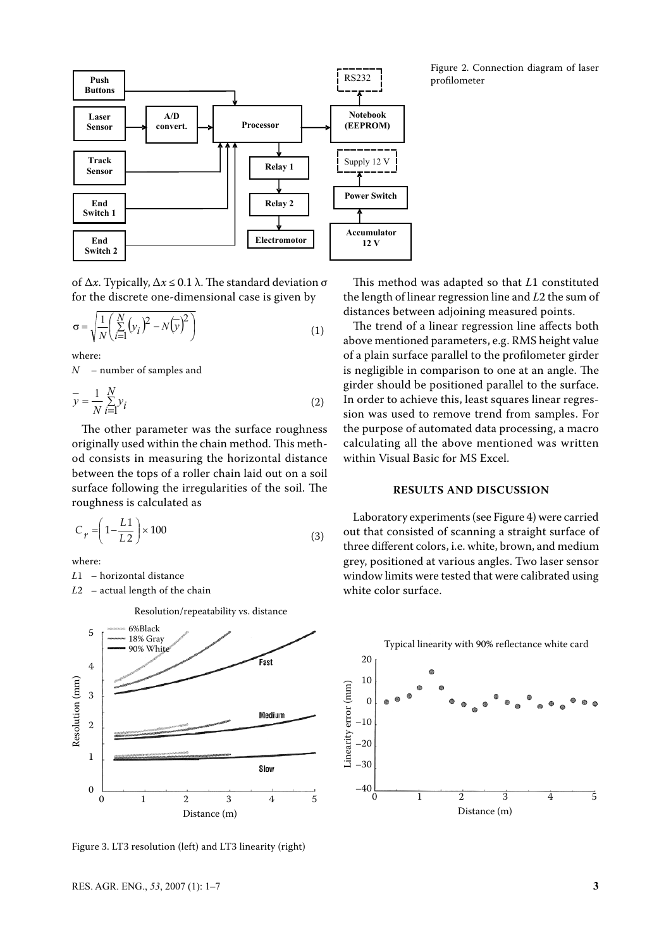

of Δ*x*. Typically, Δ*x* ≤ 0.1 λ. The standard deviation σ for the discrete one-dimensional case is given by

$$
\sigma = \sqrt{\frac{1}{N} \left( \sum_{i=1}^{N} \left( y_i \right)^2 - N \left( \overline{y} \right)^2 \right)}
$$
(1)

where:

*N* – number of samples and

$$
\overline{y} = \frac{1}{N} \sum_{i=1}^{N} y_i
$$
 (2)

The other parameter was the surface roughness originally used within the chain method. This method consists in measuring the horizontal distance between the tops of a roller chain laid out on a soil surface following the irregularities of the soil. The roughness is calculated as

$$
C_r = \left(1 - \frac{L1}{L2}\right) \times 100\tag{3}
$$

where:

*L*1 – horizontal distance

*L*2 – actual length of the chain

Resolution/repeatability vs. distance



Figure 3. LT3 resolution (left) and LT3 linearity (right)

This method was adapted so that *L*1 constituted the length of linear regression line and *L*2 the sum of distances between adjoining measured points.

The trend of a linear regression line affects both above mentioned parameters, e.g. RMS height value of a plain surface parallel to the profilometer girder is negligible in comparison to one at an angle. The girder should be positioned parallel to the surface. In order to achieve this, least squares linear regression was used to remove trend from samples. For the purpose of automated data processing, a macro calculating all the above mentioned was written within Visual Basic for MS Excel.

#### **results and discussion**

Laboratory experiments (see Figure 4) were carried out that consisted of scanning a straight surface of three different colors, i.e. white, brown, and medium grey, positioned at various angles. Two laser sensor window limits were tested that were calibrated using white color surface.



Figure 2. Connection diagram of laser profilometer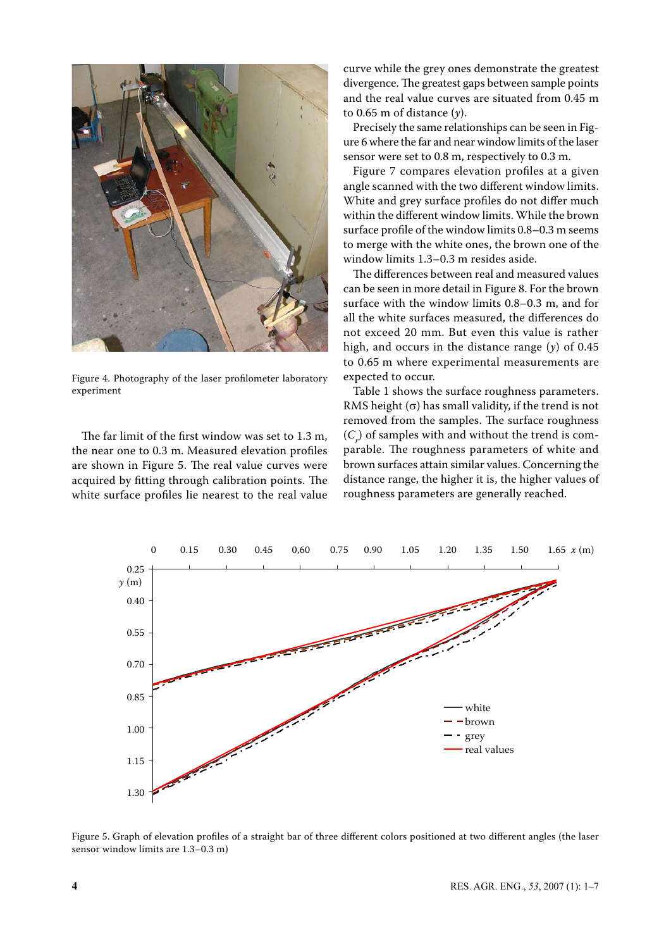

Figure 4. Photography of the laser profilometer laboratory experiment

The far limit of the first window was set to 1.3 m, the near one to 0.3 m. Measured elevation profiles are shown in Figure 5. The real value curves were acquired by fitting through calibration points. The white surface profiles lie nearest to the real value

curve while the grey ones demonstrate the greatest divergence. The greatest gaps between sample points and the real value curves are situated from 0.45 m to 0.65 m of distance (*y*).

Precisely the same relationships can be seen in Figure 6 where the far and near window limits of the laser sensor were set to 0.8 m, respectively to 0.3 m.

Figure 7 compares elevation profiles at a given angle scanned with the two different window limits. White and grey surface profiles do not differ much within the different window limits. While the brown surface profile of the window limits 0.8–0.3 m seems to merge with the white ones, the brown one of the window limits 1.3–0.3 m resides aside.

The differences between real and measured values can be seen in more detail in Figure 8. For the brown surface with the window limits 0.8–0.3 m, and for all the white surfaces measured, the differences do not exceed 20 mm. But even this value is rather high, and occurs in the distance range (*y*) of 0.45 to 0.65 m where experimental measurements are expected to occur.

Table 1 shows the surface roughness parameters. RMS height  $(\sigma)$  has small validity, if the trend is not removed from the samples. The surface roughness  $(C_r)$  of samples with and without the trend is comparable. The roughness parameters of white and brown surfaces attain similar values. Concerning the distance range, the higher it is, the higher values of roughness parameters are generally reached.



Figure 5. Graph of elevation profiles of a straight bar of three different colors positioned at two different angles (the laser sensor window limits are 1.3–0.3 m)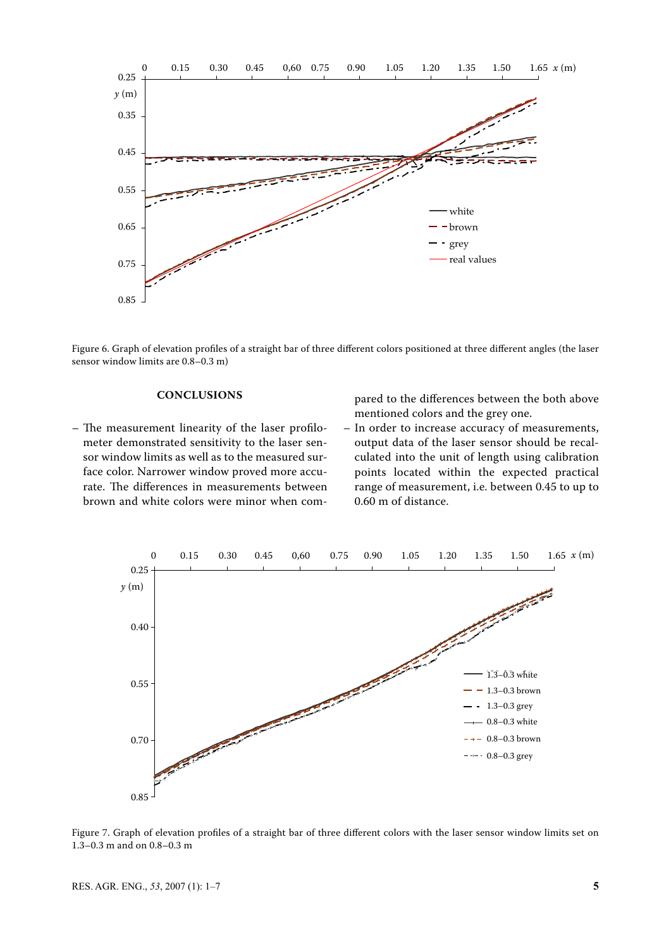

Figure 6. Graph of elevation profiles of a straight bar of three different colors positioned at three different angles (the laser sensor window limits are 0.8–0.3 m)

#### **CONCLUSIONS**

– The measurement linearity of the laser profilometer demonstrated sensitivity to the laser sensor window limits as well as to the measured surface color. Narrower window proved more accurate. The differences in measurements between brown and white colors were minor when compared to the differences between the both above mentioned colors and the grey one.

– In order to increase accuracy of measurements, output data of the laser sensor should be recalculated into the unit of length using calibration points located within the expected practical range of measurement, i.e. between 0.45 to up to 0.60 m of distance.



Figure 7. Graph of elevation profiles of a straight bar of three different colors with the laser sensor window limits set on 1.3–0.3 m and on 0.8–0.3 m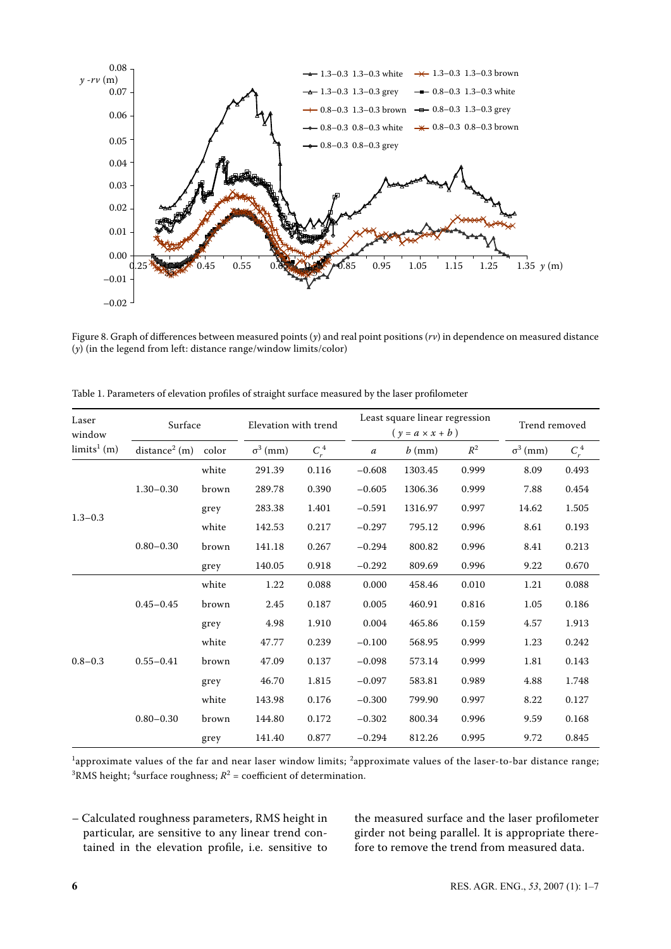

Figure 8. Graph of differences between measured points (*y*) and real point positions (*rv*) in dependence on measured distance (*y*) (in the legend from left: distance range/window limits/color)

| Laser<br>window<br>$\lim$ its <sup>1</sup> (m) | Surface                   |       | Elevation with trend |         | Least square linear regression<br>$(y = a \times x + b)$ |          |                | Trend removed   |         |
|------------------------------------------------|---------------------------|-------|----------------------|---------|----------------------------------------------------------|----------|----------------|-----------------|---------|
|                                                | distance <sup>2</sup> (m) | color | $\sigma^3$ (mm)      | $C_r^4$ | $\boldsymbol{a}$                                         | $b$ (mm) | $\mathbb{R}^2$ | $\sigma^3$ (mm) | $C_r^4$ |
| $1.3 - 0.3$                                    | $1.30 - 0.30$             | white | 291.39               | 0.116   | $-0.608$                                                 | 1303.45  | 0.999          | 8.09            | 0.493   |
|                                                |                           | brown | 289.78               | 0.390   | $-0.605$                                                 | 1306.36  | 0.999          | 7.88            | 0.454   |
|                                                |                           | grey  | 283.38               | 1.401   | $-0.591$                                                 | 1316.97  | 0.997          | 14.62           | 1.505   |
|                                                | $0.80 - 0.30$             | white | 142.53               | 0.217   | $-0.297$                                                 | 795.12   | 0.996          | 8.61            | 0.193   |
|                                                |                           | brown | 141.18               | 0.267   | $-0.294$                                                 | 800.82   | 0.996          | 8.41            | 0.213   |
|                                                |                           | grey  | 140.05               | 0.918   | $-0.292$                                                 | 809.69   | 0.996          | 9.22            | 0.670   |
| $0.8 - 0.3$                                    | $0.45 - 0.45$             | white | 1.22                 | 0.088   | 0.000                                                    | 458.46   | 0.010          | 1.21            | 0.088   |
|                                                |                           | brown | 2.45                 | 0.187   | 0.005                                                    | 460.91   | 0.816          | 1.05            | 0.186   |
|                                                |                           | grey  | 4.98                 | 1.910   | 0.004                                                    | 465.86   | 0.159          | 4.57            | 1.913   |
|                                                | $0.55 - 0.41$             | white | 47.77                | 0.239   | $-0.100$                                                 | 568.95   | 0.999          | 1.23            | 0.242   |
|                                                |                           | brown | 47.09                | 0.137   | $-0.098$                                                 | 573.14   | 0.999          | 1.81            | 0.143   |
|                                                |                           | grey  | 46.70                | 1.815   | $-0.097$                                                 | 583.81   | 0.989          | 4.88            | 1.748   |
|                                                | $0.80 - 0.30$             | white | 143.98               | 0.176   | $-0.300$                                                 | 799.90   | 0.997          | 8.22            | 0.127   |
|                                                |                           | brown | 144.80               | 0.172   | $-0.302$                                                 | 800.34   | 0.996          | 9.59            | 0.168   |
|                                                |                           | grey  | 141.40               | 0.877   | $-0.294$                                                 | 812.26   | 0.995          | 9.72            | 0.845   |

Table 1. Parameters of elevation profiles of straight surface measured by the laser profilometer

 $1$ approximate values of the far and near laser window limits;  $2$ approximate values of the laser-to-bar distance range;  ${}^{3}$ RMS height; <sup>4</sup>surface roughness;  $R^{2}$  = coefficient of determination.

– Calculated roughness parameters, RMS height in particular, are sensitive to any linear trend contained in the elevation profile, i.e. sensitive to the measured surface and the laser profilometer girder not being parallel. It is appropriate therefore to remove the trend from measured data.